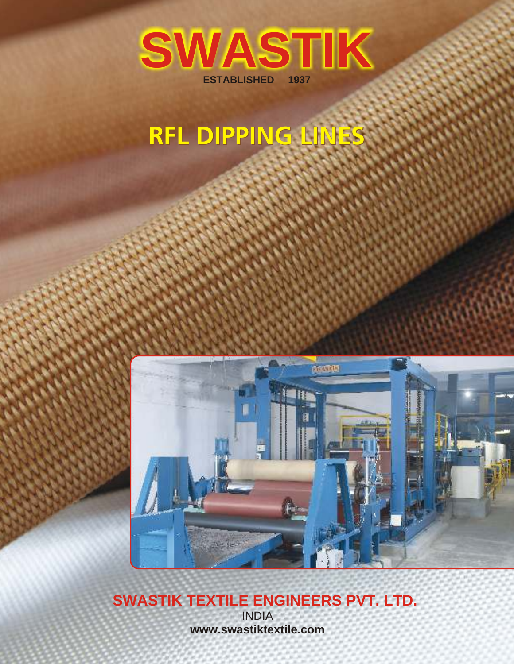

# **RFL DIPPING LINES**



# **SWASTIK TEXTILE ENGINEERS PVT. LTD.**

INDIA **www.swastiktextile.com**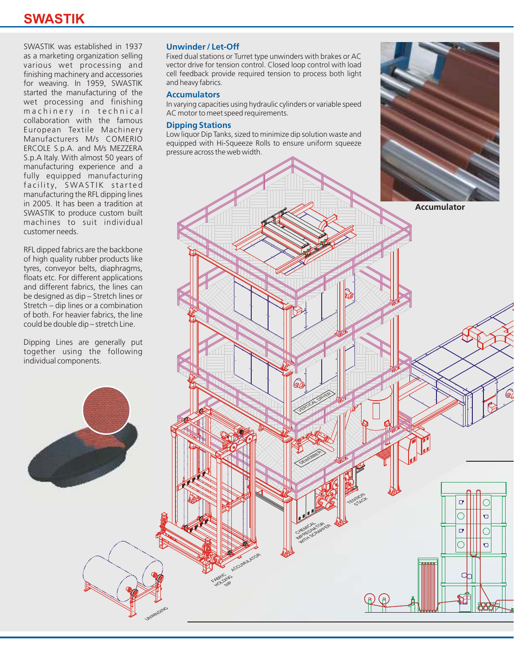### **SWASTIK**

SWASTIK was established in 1937 as a marketing organization selling various wet processing and finishing machinery and accessories for weaving. In 1959, SWASTIK started the manufacturing of the wet processing and finishing m a chinery in technical collaboration with the famous European Textile Machinery Manufacturers M/s COMERIO ERCOLE S.p.A. and M/s MEZZERA S.p.A Italy. With almost 50 years of manufacturing experience and a fully equipped manufacturing facility, SWASTIK started manufacturing the RFL dipping lines in 2005. It has been a tradition at SWASTIK to produce custom built machines to suit individual customer needs.

RFL dipped fabrics are the backbone of high quality rubber products like tyres, conveyor belts, diaphragms, floats etc. For different applications and different fabrics, the lines can be designed as dip – Stretch lines or Stretch – dip lines or a combination of both. For heavier fabrics, the line could be double dip – stretch Line.

Dipping Lines are generally put together using the following individual components.

#### **Unwinder / Let-Off**

Fixed dual stations or Turret type unwinders with brakes or AC vector drive for tension control. Closed loop control with load cell feedback provide required tension to process both light and heavy fabrics.

#### **Accumulators**

In varying capacities using hydraulic cylinders or variable speed AC motor to meet speed requirements.

#### **Dipping Stations**

Low liquor Dip Tanks, sized to minimize dip solution waste and equipped with Hi-Squeeze Rolls to ensure uniform squeeze pressure across the web width.



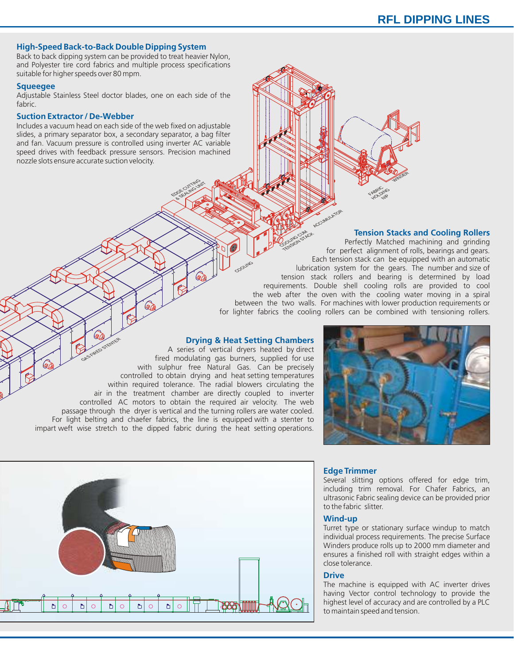#### **High-Speed Back-to-Back Double Dipping System**

Back to back dipping system can be provided to treat heavier Nylon, and Polyester tire cord fabrics and multiple process specifications suitable for higher speeds over 80 mpm.

#### **Squeegee**

Adjustable Stainless Steel doctor blades, one on each side of the fabric.

#### **Suction Extractor / De-Webber**

Includes a vacuum head on each side of the web fixed on adjustable slides, a primary separator box, a secondary separator, a bag filter and fan. Vacuum pressure is controlled using inverter AC variable speed drives with feedback pressure sensors. Precision machined nozzle slots ensure accurate suction velocity.



#### **Tension Stacks and Cooling Rollers**

Perfectly Matched machining and grinding for perfect alignment of rolls, bearings and gears. Each tension stack can be equipped with an automatic lubrication system for the gears. The number and size of tension stack rollers and bearing is determined by load requirements. Double shell cooling rolls are provided to cool the web after the oven with the cooling water moving in a spiral between the two walls. For machines with lower production requirements or for lighter fabrics the cooling rollers can be combined with tensioning rollers. **COLLEGAN STR** TENSION STROK

#### **Drying & Heat Setting Chambers**

A series of vertical dryers heated by direct fired modulating gas burners, supplied for use with sulphur free Natural Gas. Can be precisely controlled to obtain drying and heat setting temperatures within required tolerance. The radial blowers circulating the air in the treatment chamber are directly coupled to inverter controlled AC motors to obtain the required air velocity. The web passage through the dryer is vertical and the turning rollers are water cooled. For light belting and chaefer fabrics, the line is equipped with a stenter to impart weft wise stretch to the dipped fabric during the heat setting operations. AGS REED STEELER S THE SE THE SE THE SERIES OF THE SERIES OF THE SERIES OF THE SERIES OF THE SERIES OF THE COMMUNITY OF THE SERIES OF THE COMMUNITY OF THE SERIES OF THE COMMUNITY OF THE SERIES OF THE COMMUNITY OF THE COMMUNITY OF THE COMMU

S. CU TING CU GE CUT &

SE CUTTING UNIT





#### **Edge Trimmer**

Several slitting options offered for edge trim, including trim removal. For Chafer Fabrics, an ultrasonic Fabric sealing device can be provided prior to the fabric slitter.

#### **Wind-up**

Turret type or stationary surface windup to match individual process requirements. The precise Surface Winders produce rolls up to 2000 mm diameter and ensures a finished roll with straight edges within a close tolerance.

#### **Drive**

The machine is equipped with AC inverter drives having Vector control technology to provide the highest level of accuracy and are controlled by a PLC to maintain speed and tension.